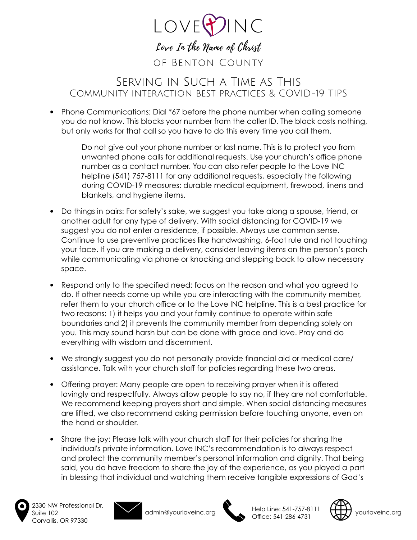

## Serving in Such a Time as This Community interaction best practices & COVID-19 TIPS

• Phone Communications: Dial \*67 before the phone number when calling someone you do not know. This blocks your number from the caller ID. The block costs nothing, but only works for that call so you have to do this every time you call them.

Do not give out your phone number or last name. This is to protect you from unwanted phone calls for additional requests. Use your church's office phone number as a contact number. You can also refer people to the Love INC helpline (541) 757-8111 for any additional requests, especially the following during COVID-19 measures: durable medical equipment, firewood, linens and blankets, and hygiene items.

- Do things in pairs: For safety's sake, we suggest you take along a spouse, friend, or another adult for any type of delivery. With social distancing for COVID-19 we suggest you do not enter a residence, if possible. Always use common sense. Continue to use preventive practices like handwashing, 6-foot rule and not touching your face. If you are making a delivery, consider leaving items on the person's porch while communicating via phone or knocking and stepping back to allow necessary space.
- Respond only to the specified need: focus on the reason and what you agreed to do. If other needs come up while you are interacting with the community member, refer them to your church office or to the Love INC helpline. This is a best practice for two reasons: 1) it helps you and your family continue to operate within safe boundaries and 2) it prevents the community member from depending solely on you. This may sound harsh but can be done with grace and love. Pray and do everything with wisdom and discernment.
- We strongly suggest you do not personally provide financial aid or medical care/ assistance. Talk with your church staff for policies regarding these two areas.
- Offering prayer: Many people are open to receiving prayer when it is offered lovingly and respectfully. Always allow people to say no, if they are not comfortable. We recommend keeping prayers short and simple. When social distancing measures are lifted, we also recommend asking permission before touching anyone, even on the hand or shoulder.
- Share the joy: Please talk with your church staff for their policies for sharing the individual's private information. Love INC's recommendation is to always respect and protect the community member's personal information and dignity. That being said, you do have freedom to share the joy of the experience, as you played a part in blessing that individual and watching them receive tangible expressions of God's



2330 NW Professional Dr. Suite 102 Corvallis, OR 97330





admin@yourloveinc.org Help Line: 541-757-8111 Theip Line: 341-737-6111<br>Office: 541-286-4731